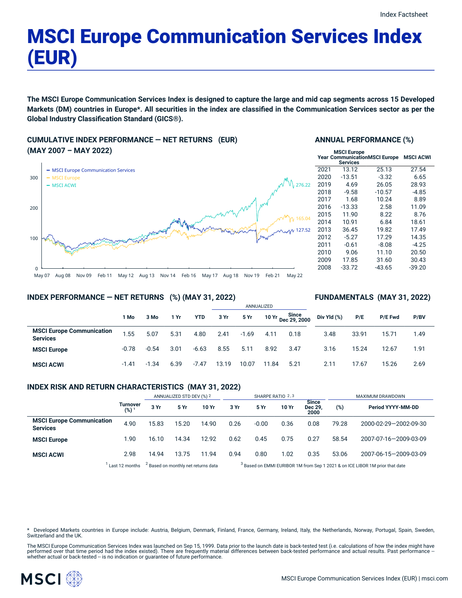# MSCI Europe Communication Services Index (EUR)

The MSCI Europe Communication Services Index is designed to capture the large and mid cap segments across 15 Developed Markets (DM) countries in Europe\*. All securities in the index are classified in the Communication Services sector as per the **Global Industry Classification Standard (GICS®).**

# **CUMULATIVE INDEX PERFORMANCE — NET RETURNS (EUR) (MAY 2007 – MAY 2022)**



#### **ANNUAL PERFORMANCE (%)**

| <b>MSCI Europe</b><br><b>Year CommunicationMSCI Europe</b> | <b>MSCI ACWI</b> |          |          |
|------------------------------------------------------------|------------------|----------|----------|
| 2021                                                       | 13.12            | 25.13    | 27.54    |
| 2020                                                       | $-13.51$         | $-3.32$  | 6.65     |
| 2019                                                       | 4.69             | 26.05    | 28.93    |
| 2018                                                       | $-9.58$          | $-10.57$ | $-4.85$  |
| 2017                                                       | 1.68             | 10.24    | 8.89     |
| 2016                                                       | $-13.33$         | 2.58     | 11.09    |
| 2015                                                       | 11.90            | 8.22     | 8.76     |
| 2014                                                       | 10.91            | 6.84     | 18.61    |
| 2013                                                       | 36.45            | 19.82    | 17.49    |
| 2012                                                       | $-5.27$          | 17.29    | 14.35    |
| 2011                                                       | $-0.61$          | $-8.08$  | $-4.25$  |
| 2010                                                       | 9.06             | 11.10    | 20.50    |
| 2009                                                       | 17.85            | 31.60    | 30.43    |
| 2008                                                       | $-33.72$         | $-43.65$ | $-39.20$ |

**FUNDAMENTALS (MAY 31, 2022)**

#### **INDEX PERFORMANCE — NET RETURNS (%) (MAY 31, 2022)**

#### ANNUALIZED **1 Mo 3 Mo 1 Yr YTD 3 Yr 5 Yr 10 Yr Since Dec 29, 2000 MSCI Europe Communication Services** 1.55 5.07 5.31 4.80 2.41 -1.69 4.11 0.18 **MSCI Europe** -0.78 -0.54 3.01 -6.63 8.55 5.11 8.92 3.47 **MSCI ACWI** -1.41 -1.34 6.39 -7.47 13.19 10.07 11.84 5.21 **Div Yld (%) P/E P/E Fwd P/BV** 3.48 33.91 15.71 1.49 3.16 15.24 12.67 1.91 2.11 17.67 15.26 2.69

### **INDEX RISK AND RETURN CHARACTERISTICS (MAY 31, 2022)**

|                                                     |                     | ANNUALIZED STD DEV (%) 2                       |       | SHARPE RATIO 2,3 |                                                                                         |         |       | <b>MAXIMUM DRAWDOWN</b>         |       |                       |
|-----------------------------------------------------|---------------------|------------------------------------------------|-------|------------------|-----------------------------------------------------------------------------------------|---------|-------|---------------------------------|-------|-----------------------|
|                                                     | Turnover<br>$(%)^1$ | 3 Yr                                           | 5 Yr  | 10 Yr            | 3 Yr                                                                                    | 5 Yr    | 10 Yr | <b>Since</b><br>Dec 29.<br>2000 | (%)   | Period YYYY-MM-DD     |
| <b>MSCI Europe Communication</b><br><b>Services</b> | 4.90                | 15.83                                          | 15.20 | 14.90            | 0.26                                                                                    | $-0.00$ | 0.36  | 0.08                            | 79.28 | 2000-02-29-2002-09-30 |
| <b>MSCI Europe</b>                                  | 1.90                | 16.10                                          | 14.34 | 12.92            | 0.62                                                                                    | 0.45    | 0.75  | 0.27                            | 58.54 | 2007-07-16-2009-03-09 |
| <b>MSCI ACWI</b>                                    | 2.98                | 14.94                                          | 13.75 | 11.94            | 0.94                                                                                    | 0.80    | 1.02  | 0.35                            | 53.06 | 2007-06-15-2009-03-09 |
|                                                     | Last 12 months      | <sup>2</sup> Based on monthly net returns data |       |                  | <sup>3</sup> Based on EMMI EURIBOR 1M from Sep 1 2021 & on ICE LIBOR 1M prior that date |         |       |                                 |       |                       |

ased on EMMI EURIBOR 1M from Sep 1 2021 & on ICE LIBOR 1M prior that date

Developed Markets countries in Europe include: Austria, Belgium, Denmark, Finland, France, Germany, Ireland, Italy, the Netherlands, Norway, Portugal, Spain, Sweden, Switzerland and the UK.

The MSCI Europe Communication Services Index was launched on Sep 15, 1999. Data prior to the launch date is back-tested test (i.e. calculations of how the index might have performed over that time period had the index existed). There are frequently material differences between back-tested performance and actual results. Past performance –<br>whether actual or back-tested – is no indication or g

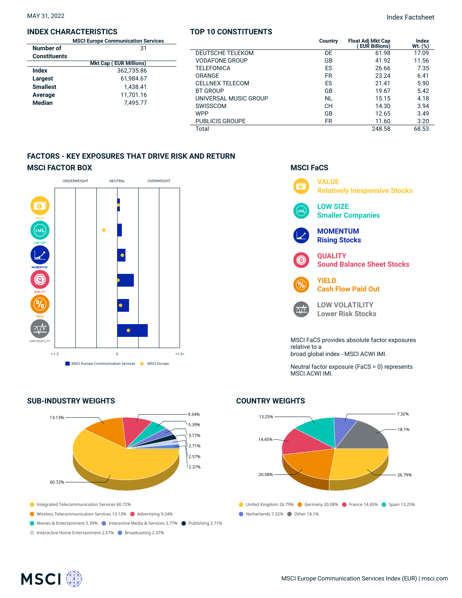#### **INDEX CHARACTERISTICS**

| <b>MSCI Europe Communication Services</b> |                               |  |  |
|-------------------------------------------|-------------------------------|--|--|
| Number of                                 | 31                            |  |  |
| <b>Constituents</b>                       |                               |  |  |
|                                           | <b>Mkt Cap (EUR Millions)</b> |  |  |
| Index                                     | 362.735.86                    |  |  |
| Largest                                   | 61,984.67                     |  |  |
| <b>Smallest</b>                           | 1,438.41                      |  |  |
| Average                                   | 11,701.16                     |  |  |
| <b>Median</b>                             | 7.495.77                      |  |  |
|                                           |                               |  |  |

### **TOP 10 CONSTITUENTS**

|                         | Country   | <b>Float Adj Mkt Cap</b><br><b>EUR Billions)</b> | Index<br>$Wt.$ $(\%)$ |
|-------------------------|-----------|--------------------------------------------------|-----------------------|
| <b>DEUTSCHE TELEKOM</b> | DE        | 61.98                                            | 17.09                 |
| <b>VODAFONE GROUP</b>   | GB        | 41.92                                            | 11.56                 |
| TELEFONICA              | ES        | 26.66                                            | 7.35                  |
| ORANGE                  | <b>FR</b> | 23.24                                            | 6.41                  |
| <b>CELLNEX TELECOM</b>  | ES        | 21.41                                            | 5.90                  |
| <b>BT GROUP</b>         | GB        | 19.67                                            | 5.42                  |
| UNIVERSAL MUSIC GROUP   | <b>NL</b> | 15.15                                            | 4.18                  |
| SWISSCOM                | CН        | 14.30                                            | 3.94                  |
| <b>WPP</b>              | GB        | 12.65                                            | 3.49                  |
| <b>PUBLICIS GROUPE</b>  | <b>FR</b> | 11.60                                            | 3.20                  |
| Total                   |           | 248.58                                           | 68.53                 |

**MSCI FaCS**

## **FACTORS - KEY EXPOSURES THAT DRIVE RISK AND RETURN MSCI FACTOR BOX**



# **SUB-INDUSTRY WEIGHTS**





Neutral factor exposure (FaCS = 0) represents MSCI ACWI IMI.

# **COUNTRY WEIGHTS**